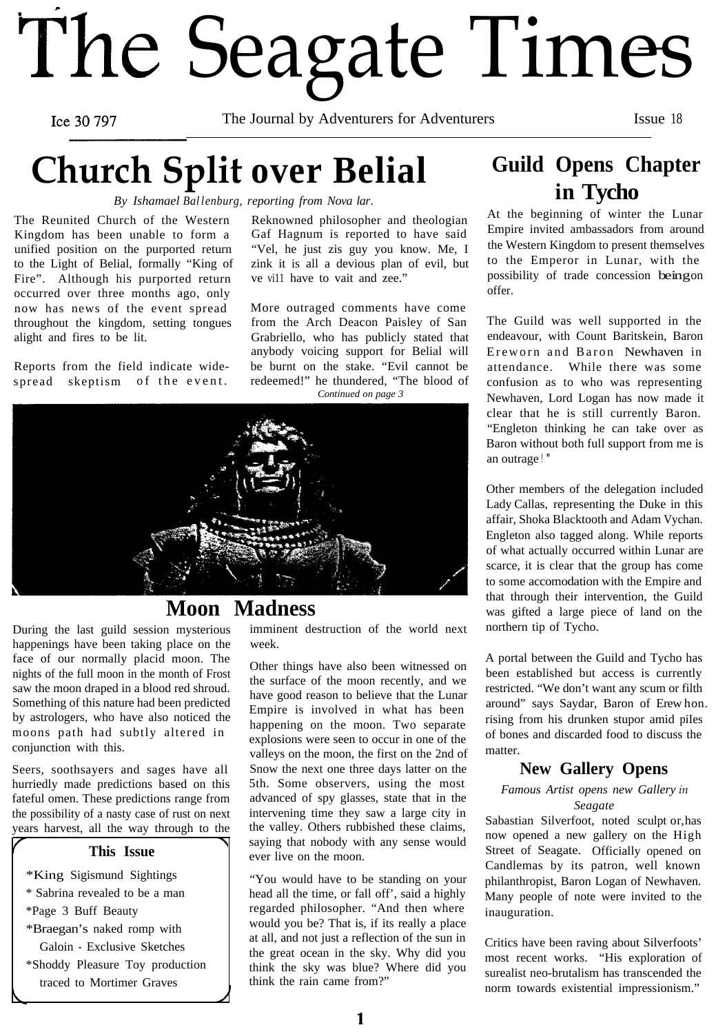# The Seagate Times

Ice 30 797

The Journal by Adventurers for Adventurers Issue 18

# **Church Split over Belial**

*By Ishamael Ballenburg, reporting from Nova lar.*

The Reunited Church of the Western Kingdom has been unable to form a unified position on the purported return to the Light of Belial, formally "King of Fire". Although his purported return occurred over three months ago, only now has news of the event spread throughout the kingdom, setting tongues alight and fires to be lit.

Reports from the field indicate widespread skeptism of the event.

Reknowned philosopher and theologian Gaf Hagnum is reported to have said "Vel, he just zis guy you know. Me, I zink it is all a devious plan of evil, but ve vi11 have to vait and zee."

More outraged comments have come from the Arch Deacon Paisley of San Grabriello, who has publicly stated that anybody voicing support for Belial will be burnt on the stake. "Evil cannot be redeemed!" he thundered, "The blood of *Continued on page 3*



#### **Moon Madness**

During the last guild session mysterious happenings have been taking place on the face of our normally placid moon. The nights of the full moon in the month of Frost saw the moon draped in a blood red shroud. Something of this nature had been predicted by astrologers, who have also noticed the moons path had subtly altered in conjunction with this.

Seers, soothsayers and sages have all hurriedly made predictions based on this fateful omen. These predictions range from the possibility of a nasty case of rust on next years harvest, all the way through to the

#### **This Issue**

\*King Sigismund Sightings \* Sabrina revealed to be a man \*Page 3 Buff Beauty \*Braegan's naked romp with Galoin - Exclusive Sketches

\*Shoddy Pleasure Toy production traced to Mortimer Graves

imminent destruction of the world next week.

Other things have also been witnessed on the surface of the moon recently, and we have good reason to believe that the Lunar Empire is involved in what has been happening on the moon. Two separate explosions were seen to occur in one of the valleys on the moon, the first on the 2nd of Snow the next one three days latter on the 5th. Some observers, using the most advanced of spy glasses, state that in the intervening time they saw a large city in the valley. Others rubbished these claims, saying that nobody with any sense would ever live on the moon.

"You would have to be standing on your head all the time, or fall off', said a highly regarded philosopher. "And then where would you be? That is, if its really a place at all, and not just a reflection of the sun in the great ocean in the sky. Why did you think the sky was blue? Where did you think the rain came from?"

## **Guild Opens Chapter in Tycho**

At the beginning of winter the Lunar Empire invited ambassadors from around the Western Kingdom to present themselves to the Emperor in Lunar, with the possibility of trade concession being on offer.

The Guild was well supported in the endeavour, with Count Baritskein, Baron Ereworn and Baron Newhaven in attendance. While there was some confusion as to who was representing Newhaven, Lord Logan has now made it clear that he is still currently Baron. "Engleton thinking he can take over as Baron without both full support from me is an outrage ! "

Other members of the delegation included Lady Callas, representing the Duke in this affair, Shoka Blacktooth and Adam Vychan. Engleton also tagged along. While reports of what actually occurred within Lunar are scarce, it is clear that the group has come to some accomodation with the Empire and that through their intervention, the Guild was gifted a large piece of land on the northern tip of Tycho.

A portal between the Guild and Tycho has been established but access is currently restricted. "We don't want any scum or filth around" says Saydar, Baron of Erew hon. rising from his drunken stupor amid piIes of bones and discarded food to discuss the matter.

#### **New Gallery Opens**

*Famous Artist opens new Gallery in Seagate*

Sabastian Silverfoot, noted sculpt or, has now opened a new gallery on the High Street of Seagate. Officially opened on Candlemas by its patron, well known philanthropist, Baron Logan of Newhaven. Many people of note were invited to the inauguration.

Critics have been raving about Silverfoots' most recent works. "His exploration of surealist neo-brutalism has transcended the norm towards existential impressionism."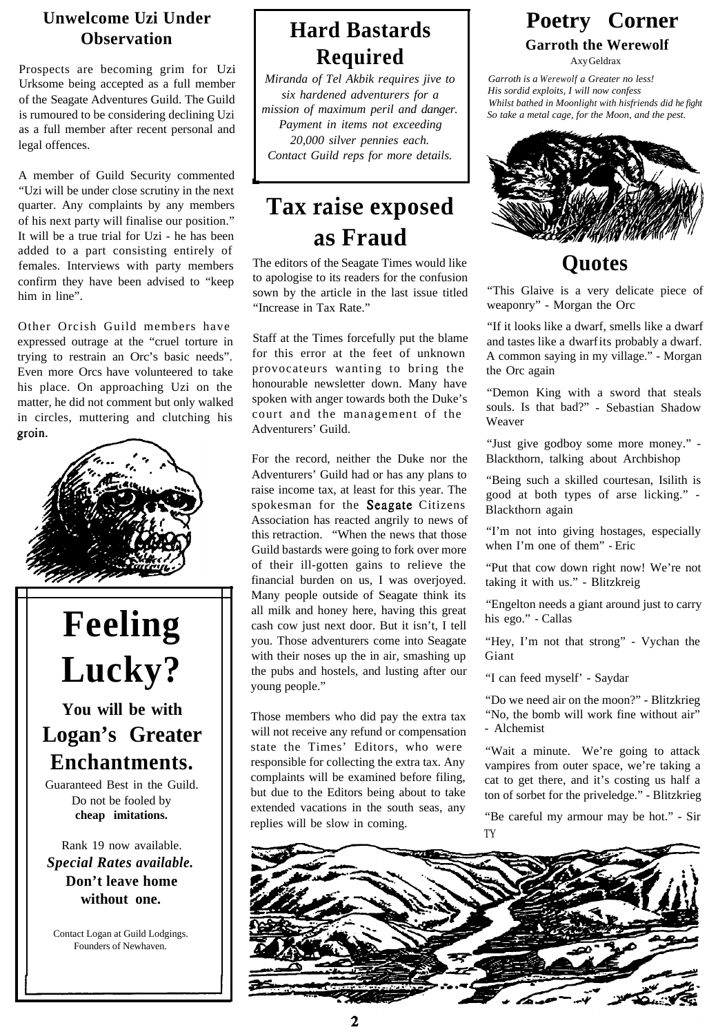#### **Unwelcome Uzi Under Observation**

Prospects are becoming grim for Uzi Urksome being accepted as a full member of the Seagate Adventures Guild. The Guild is rumoured to be considering declining Uzi as a full member after recent personal and legal offences.

A member of Guild Security commented "Uzi will be under close scrutiny in the next quarter. Any complaints by any members of his next party will finalise our position." It will be a true trial for Uzi - he has been added to a part consisting entirely of females. Interviews with party members confirm they have been advised to "keep him in line".

Other Orcish Guild members have expressed outrage at the "cruel torture in trying to restrain an Orc's basic needs". Even more Orcs have volunteered to take his place. On approaching Uzi on the matter, he did not comment but only walked in circles, muttering and clutching his groin.



## **Hard Bastards Required**

*Miranda of Tel Akbik requires jive to six hardened adventurers for a mission of maximum peril and danger. Payment in items not exceeding 20,000 silver pennies each. Contact Guild reps for more details.*

## **Tax raise exposed as Fraud**

The editors of the Seagate Times would like to apologise to its readers for the confusion sown by the article in the last issue titled "Increase in Tax Rate."

Staff at the Times forcefully put the blame for this error at the feet of unknown provocateurs wanting to bring the honourable newsletter down. Many have spoken with anger towards both the Duke's court and the management of the Adventurers' Guild.

For the record, neither the Duke nor the Adventurers' Guild had or has any plans to raise income tax, at least for this year. The spokesman for the Seagate Citizens Association has reacted angrily to news of this retraction. "When the news that those Guild bastards were going to fork over more of their ill-gotten gains to relieve the financial burden on us, I was overjoyed. Many people outside of Seagate think its all milk and honey here, having this great cash cow just next door. But it isn't, I tell you. Those adventurers come into Seagate with their noses up the in air, smashing up the pubs and hostels, and lusting after our young people."

Those members who did pay the extra tax will not receive any refund or compensation state the Times' Editors, who were responsible for collecting the extra tax. Any complaints will be examined before filing, but due to the Editors being about to take extended vacations in the south seas, any replies will be slow in coming.

# **Poetry Corner**

**Garroth the Werewolf**

Axy Geldrax

*Garroth is a Werewolf a Greater no less! His sordid exploits, I will now confess Whilst bathed in Moonlight with hisfriends did he fight So take a metal cage, for the Moon, and the pest.*



## **Quotes**

"This Glaive is a very delicate piece of weaponry" - Morgan the Orc

"If it looks like a dwarf, smells like a dwarf and tastes like a dwarf its probably a dwarf. A common saying in my village." - Morgan the Orc again

"Demon King with a sword that steals souls. Is that bad?" - Sebastian Shadow Weaver

"Just give godboy some more money." - Blackthorn, talking about Archbishop

"Being such a skilled courtesan, Isilith is good at both types of arse licking." - Blackthorn again

"I'm not into giving hostages, especially when I'm one of them" - Eric

"Put that cow down right now! We're not taking it with us." - Blitzkreig

"Engelton needs a giant around just to carry his ego." - Callas

"Hey, I'm not that strong" - Vychan the Giant

"I can feed myself' - Saydar

"Do we need air on the moon?" - Blitzkrieg "No, the bomb will work fine without air" - Alchemist

"Wait a minute. We're going to attack vampires from outer space, we're taking a cat to get there, and it's costing us half a ton of sorbet for the priveledge." - Blitzkrieg

"Be careful my armour may be hot." - Sir TY

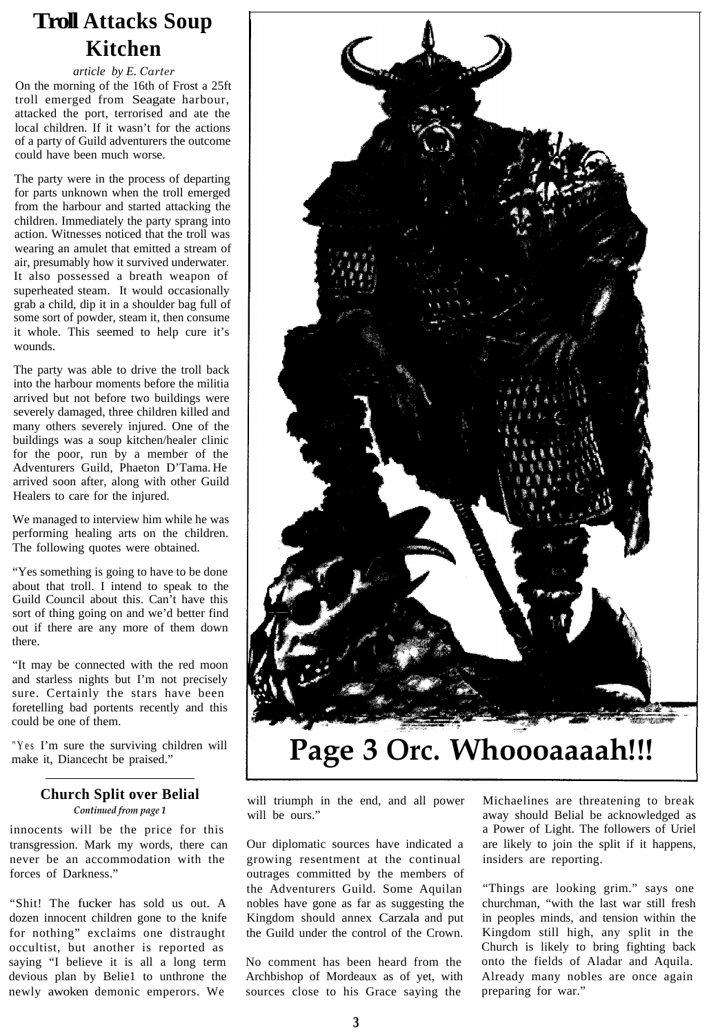## **Troll Attacks Soup Kitchen**

*article by E. Carter* On the morning of the 16th of Frost a 25ft troll emerged from Seagate harbour, attacked the port, terrorised and ate the local children. If it wasn't for the actions of a party of Guild adventurers the outcome could have been much worse.

The party were in the process of departing for parts unknown when the troll emerged from the harbour and started attacking the children. Immediately the party sprang into action. Witnesses noticed that the troll was wearing an amulet that emitted a stream of air, presumably how it survived underwater. It also possessed a breath weapon of superheated steam. It would occasionally grab a child, dip it in a shoulder bag full of some sort of powder, steam it, then consume it whole. This seemed to help cure it's wounds.

The party was able to drive the troll back into the harbour moments before the militia arrived but not before two buildings were severely damaged, three children killed and many others severely injured. One of the buildings was a soup kitchen/healer clinic for the poor, run by a member of the Adventurers Guild, Phaeton D'Tama. He arrived soon after, along with other Guild Healers to care for the injured.

We managed to interview him while he was performing healing arts on the children. The following quotes were obtained.

"Yes something is going to have to be done about that troll. I intend to speak to the Guild Council about this. Can't have this sort of thing going on and we'd better find out if there are any more of them down there.

"It may be connected with the red moon and starless nights but I'm not precisely sure. Certainly the stars have been foretelling bad portents recently and this could be one of them.

"Yes I'm sure the surviving children will make it, Diancecht be praised."

#### **Church Split over Belial**

*Continued from page 1*

innocents will be the price for this transgression. Mark my words, there can never be an accommodation with the forces of Darkness."

"Shit! The fucker has sold us out. A dozen innocent children gone to the knife for nothing" exclaims one distraught occultist, but another is reported as saying "I believe it is all a long term devious plan by Belie1 to unthrone the newly awoken demonic emperors. We



## **Page 3 Orc. Whoooaaaah!!!**

will triumph in the end, and all power will be ours."

Our diplomatic sources have indicated a growing resentment at the continual outrages committed by the members of the Adventurers Guild. Some Aquilan nobles have gone as far as suggesting the Kingdom should annex Carzala and put the Guild under the control of the Crown.

No comment has been heard from the Archbishop of Mordeaux as of yet, with sources close to his Grace saying the

Michaelines are threatening to break away should Belial be acknowledged as a Power of Light. The followers of Uriel are likely to join the split if it happens, insiders are reporting.

"Things are looking grim." says one churchman, "with the last war still fresh in peoples minds, and tension within the Kingdom still high, any split in the Church is likely to bring fighting back onto the fields of Aladar and Aquila. Already many nobles are once again preparing for war."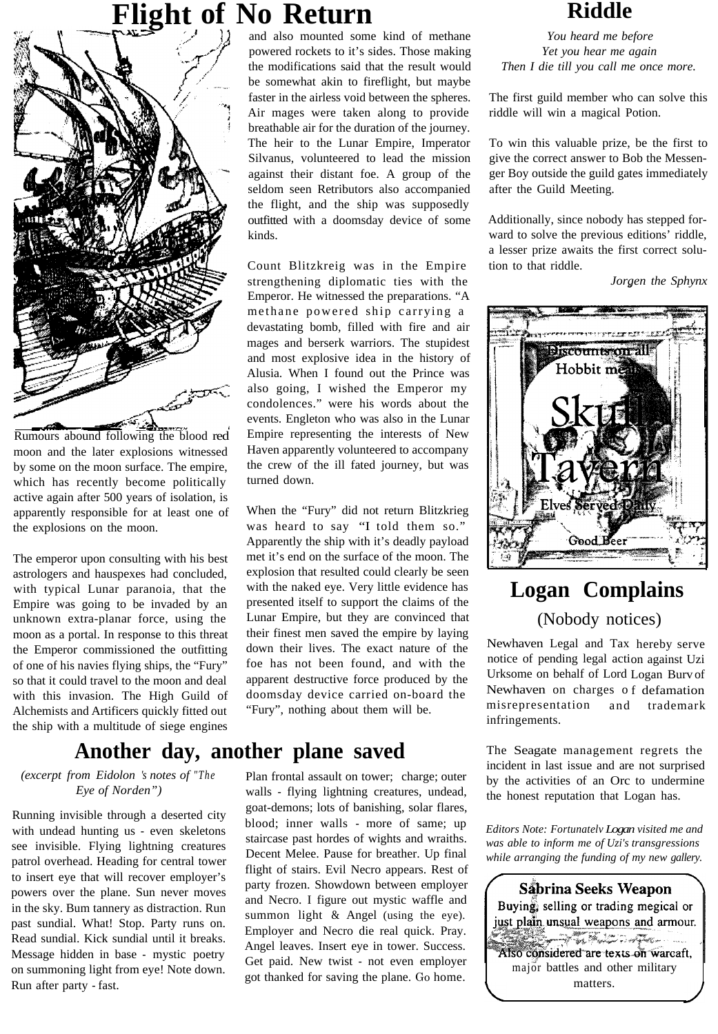## **Fight of No Return Riddle**



Rumours abound following the blood red moon and the later explosions witnessed by some on the moon surface. The empire, which has recently become politically active again after 500 years of isolation, is apparently responsible for at least one of the explosions on the moon.

The emperor upon consulting with his best astrologers and hauspexes had concluded, with typical Lunar paranoia, that the Empire was going to be invaded by an unknown extra-planar force, using the moon as a portal. In response to this threat the Emperor commissioned the outfitting of one of his navies flying ships, the "Fury" so that it could travel to the moon and deal with this invasion. The High Guild of Alchemists and Artificers quickly fitted out the ship with a multitude of siege engines

## **Another day, another plane saved**

#### *(excerpt from Eidolon 's notes of "The Eye of Norden")*

Running invisible through a deserted city with undead hunting us - even skeletons see invisible. Flying lightning creatures patrol overhead. Heading for central tower to insert eye that will recover employer's powers over the plane. Sun never moves in the sky. Bum tannery as distraction. Run past sundial. What! Stop. Party runs on. Read sundial. Kick sundial until it breaks. Message hidden in base - mystic poetry on summoning light from eye! Note down. Run after party - fast.

and also mounted some kind of methane powered rockets to it's sides. Those making the modifications said that the result would be somewhat akin to fireflight, but maybe faster in the airless void between the spheres. Air mages were taken along to provide breathable air for the duration of the journey. The heir to the Lunar Empire, Imperator Silvanus, volunteered to lead the mission against their distant foe. A group of the seldom seen Retributors also accompanied the flight, and the ship was supposedly outfitted with a doomsday device of some kinds.

Count Blitzkreig was in the Empire strengthening diplomatic ties with the Emperor. He witnessed the preparations. "A methane powered ship carrying a devastating bomb, filled with fire and air mages and berserk warriors. The stupidest and most explosive idea in the history of Alusia. When I found out the Prince was also going, I wished the Emperor my condolences." were his words about the events. Engleton who was also in the Lunar Empire representing the interests of New Haven apparently volunteered to accompany the crew of the ill fated journey, but was turned down.

When the "Fury" did not return Blitzkrieg was heard to say "I told them so." Apparently the ship with it's deadly payload met it's end on the surface of the moon. The explosion that resulted could clearly be seen with the naked eye. Very little evidence has presented itself to support the claims of the Lunar Empire, but they are convinced that their finest men saved the empire by laying down their lives. The exact nature of the foe has not been found, and with the apparent destructive force produced by the doomsday device carried on-board the "Fury", nothing about them will be.

Plan frontal assault on tower; charge; outer walls - flying lightning creatures, undead, goat-demons; lots of banishing, solar flares, blood; inner walls - more of same; up staircase past hordes of wights and wraiths. Decent Melee. Pause for breather. Up final flight of stairs. Evil Necro appears. Rest of party frozen. Showdown between employer and Necro. I figure out mystic waffle and summon light & Angel (using the eye). Employer and Necro die real quick. Pray. Angel leaves. Insert eye in tower. Success. Get paid. New twist - not even employer got thanked for saving the plane. Go home.

*You heard me before Yet you hear me again Then I die till you call me once more.*

The first guild member who can solve this riddle will win a magical Potion.

To win this valuable prize, be the first to give the correct answer to Bob the Messenger Boy outside the guild gates immediately after the Guild Meeting.

Additionally, since nobody has stepped forward to solve the previous editions' riddle, a lesser prize awaits the first correct solution to that riddle.

*Jorgen* the Sphynx



## **Logan Complains** (Nobody notices)

Newhaven Legal and Tax hereby serve notice of pending legal acti on against Uzi Urksome on behalf of Lord Logan Burv of Newhaven on charges o f defamation misrepresentation and infringements. trademark

The Seagate management regrets the incident in last issue and are not surprised by the activities of an Orc to undermine the honest reputation that Logan has.

*Editors Note: Fortunatelv Logan visited me and was able to inform me of Uzi's transgressions while arranging the funding of my new gallery.*

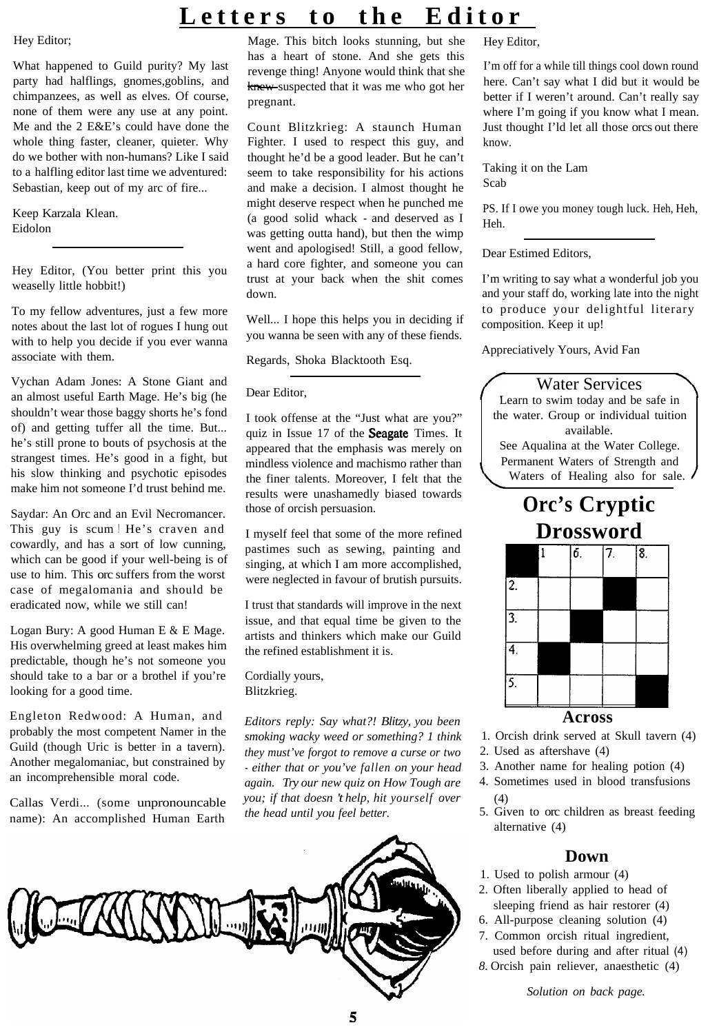#### Hey Editor;

What happened to Guild purity? My last party had halflings, gnomes,goblins, and chimpanzees, as well as elves. Of course, none of them were any use at any point. Me and the 2 E&E's could have done the whole thing faster, cleaner, quieter. Why do we bother with non-humans? Like I said to a halfling editor last time we adventured: Sebastian, keep out of my arc of fire...

Keep Karzala Klean. Eidolon

Hey Editor, (You better print this you weaselly little hobbit!)

To my fellow adventures, just a few more notes about the last lot of rogues I hung out with to help you decide if you ever wanna associate with them.

Vychan Adam Jones: A Stone Giant and an almost useful Earth Mage. He's big (he shouldn't wear those baggy shorts he's fond of) and getting tuffer all the time. But... he's still prone to bouts of psychosis at the strangest times. He's good in a fight, but his slow thinking and psychotic episodes make him not someone I'd trust behind me.

Saydar: An Orc and an Evil Necromancer. This guy is scum ! He's craven and cowardly, and has a sort of low cunning, which can be good if your well-being is of use to him. This orc suffers from the worst case of megalomania and should be eradicated now, while we still can!

Logan Bury: A good Human E & E Mage. His overwhelming greed at least makes him predictable, though he's not someone you should take to a bar or a brothel if you're looking for a good time.

Engleton Redwood: A Human, and probably the most competent Namer in the Guild (though Uric is better in a tavern). Another megalomaniac, but constrained by an incomprehensible moral code.

Callas Verdi... (some unpronouncable name): An accomplished Human Earth

## **Letters to the Editor**

Mage. This bitch looks stunning, but she has a heart of stone. And she gets this revenge thing! Anyone would think that she knew-suspected that it was me who got her pregnant.

Count Blitzkrieg: A staunch Human Fighter. I used to respect this guy, and thought he'd be a good leader. But he can't seem to take responsibility for his actions and make a decision. I almost thought he might deserve respect when he punched me (a good solid whack - and deserved as I was getting outta hand), but then the wimp went and apologised! Still, a good fellow, a hard core fighter, and someone you can trust at your back when the shit comes down.

Well... I hope this helps you in deciding if you wanna be seen with any of these fiends.

Regards, Shoka Blacktooth Esq.

#### Dear Editor,

I took offense at the "Just what are you?" quiz in Issue 17 of the Seagate Times. It appeared that the emphasis was merely on mindless violence and machismo rather than the finer talents. Moreover, I felt that the results were unashamedly biased towards those of orcish persuasion.

I myself feel that some of the more refined pastimes such as sewing, painting and singing, at which I am more accomplished, were neglected in favour of brutish pursuits.

I trust that standards will improve in the next issue, and that equal time be given to the artists and thinkers which make our Guild the refined establishment it is.

Cordially yours, Blitzkrieg.

*Editors reply: Say what?! Blitzy, you been smoking wacky weed or something? 1 think they must've forgot to remove a curse or two - either that or you've fallen on your head again. Try our new quiz on How Tough are you; if that doesn 't help, hit yourself over the head until you feel better.*



Hey Editor,

I'm off for a while till things cool down round here. Can't say what I did but it would be better if I weren't around. Can't really say where I'm going if you know what I mean. Just thought I'ld let all those orcs out there know.

Taking it on the Lam Scab

PS. If I owe you money tough luck. Heh, Heh, Heh.

Dear Estimed Editors,

I'm writing to say what a wonderful job you and your staff do, working late into the night to produce your delightful literary composition. Keep it up!

Appreciatively Yours, Avid Fan

#### Water Services

Learn to swim today and be safe in the water. Group or individual tuition available. See Aqualina at the Water College. Permanent Waters of Strength and

Waters of Healing also for sale.

## **Orc's Cryptic Drossword**



#### **Across**

- 1. Orcish drink served at Skull tavern (4)
- 2. Used as aftershave (4)
- 3. Another name for healing potion (4)
- 4. Sometimes used in blood transfusions (4)
- 5. Given to orc children as breast feeding alternative (4)

#### **Down**

- 1. Used to polish armour (4)
- 2. Often liberally applied to head of sleeping friend as hair restorer (4)
- 6. All-purpose cleaning solution (4)
- 7. Common orcish ritual ingredient,
- used before during and after ritual (4) *8.* Orcish pain reliever, anaesthetic (4)

*Solution on back page.*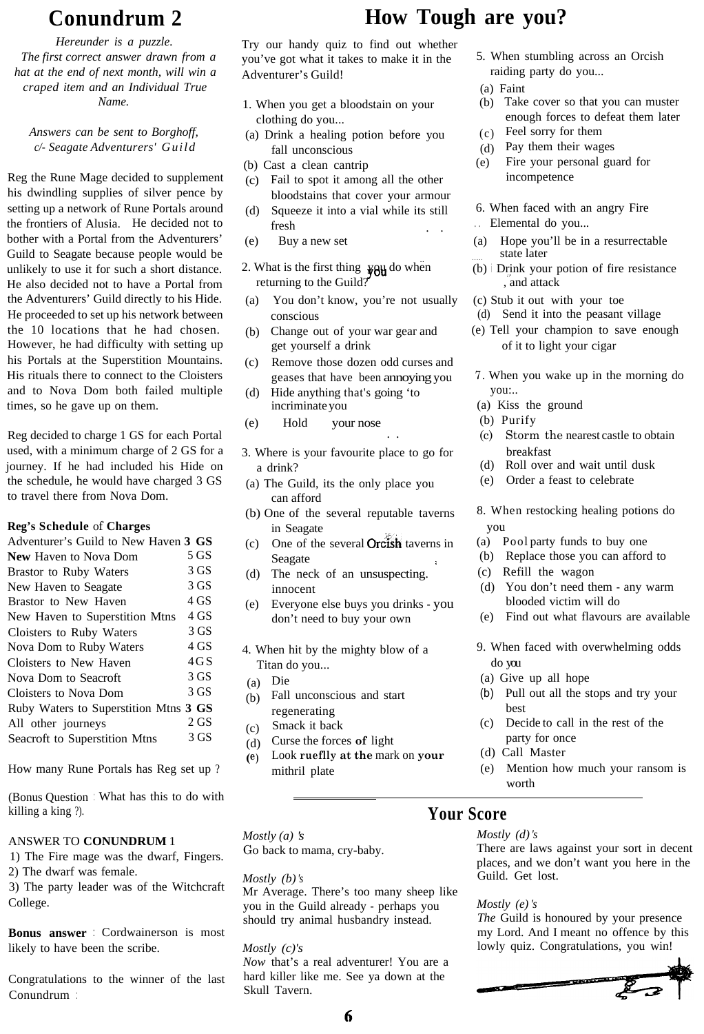*Hereunder is a puzzle. The first correct answer drawn from a hat at the end of next month, will win a craped item and an Individual True Name.*

*Answers can be sent to Borghoff, c/- Seagate Adventurers' Guild*

Reg the Rune Mage decided to supplement his dwindling supplies of silver pence by setting up a network of Rune Portals around the frontiers of Alusia. He decided not to bother with a Portal from the Adventurers' Guild to Seagate because people would be unlikely to use it for such a short distance. He also decided not to have a Portal from the Adventurers' Guild directly to his Hide. He proceeded to set up his network between the 10 locations that he had chosen. However, he had difficulty with setting up his Portals at the Superstition Mountains. His rituals there to connect to the Cloisters and to Nova Dom both failed multiple times, so he gave up on them.

Reg decided to charge 1 GS for each Portal used, with a minimum charge of 2 GS for a journey. If he had included his Hide on the schedule, he would have charged 3 GS to travel there from Nova Dom.

#### **Reg's Schedule** of **Charges**

| Adventurer's Guild to New Haven 3 GS  |        |  |
|---------------------------------------|--------|--|
| <b>New Haven to Nova Dom</b>          | 5 GS   |  |
| Brastor to Ruby Waters                | 3 GS   |  |
| New Haven to Seagate                  | 3 GS   |  |
| Brastor to New Haven                  | 4 GS   |  |
| New Haven to Superstition Mtns        | 4 GS   |  |
| Cloisters to Ruby Waters              | 3 GS   |  |
| Nova Dom to Ruby Waters               | 4 GS   |  |
| Cloisters to New Haven                | 4 G S  |  |
| Nova Dom to Seacroft                  | 3 GS   |  |
| Cloisters to Nova Dom                 | 3 GS   |  |
| Ruby Waters to Superstition Mtns 3 GS |        |  |
| All other journeys                    | $2$ GS |  |
| Seacroft to Superstition Mtns         | 3 GS   |  |

How many Rune Portals has Reg set up ?

(Bonus Question : What has this to do with killing a king ?).

#### ANSWER TO **CONUNDRUM** 1

1) The Fire mage was the dwarf, Fingers. 2) The dwarf was female.

3) The party leader was of the Witchcraft College.

**Bonus answer** : Cordwainerson is most likely to have been the scribe.

Congratulations to the winner of the last Conundrum :

## **Conundrum 2 How Tough are you?**

Try our handy quiz to find out whether you've got what it takes to make it in the 5. When stumbling across an Orcish Adventurer's Guild! raiding party do you...

- 1. When you get a bloodstain on your
- (a) Drink a healing potion before you  $(c)$ fall unconscious (d) Pay them their wages
- 
- $(c)$  Fail to spot it among all the other bloodstains that cover your armour
- fresh . . . Elemental do you... . .
- 
- 2. What is the first thing **you** do when (b) Drink your preturning to the Guild?
- (a) You don't know, you're not usually (c) Stub it out with your toe conscious ... (d) Send it into the peasant village
- get yourself a drink of it to light your cigar
- (c) Remove those dozen odd curses and
- incriminate you (a) Kiss the ground
- (e) Hold your nose (b) Purify
- 3. Where is your favourite place to go for a drink?
- (a) The Guild, its the only place you can afford
- in Seagate ... you<br>One of the several **Orcish** taverns in ... (a) Pool party funds to buy one
- (c) One of the several **Orcish** taverns in (a) Pool party funds to buy one<br>Seagate (b) Replace those you can affor
- (d) The neck of an unsuspecting. (c) Refill the wagon
- (e) Everyone else buys you drinks you
- Titan do you... do you
- 
- (b) Fall unconscious and start regenerating
- (c) Smack it back
- (d) Curse the forces **of** light
- **( e)** Look **rueflly at the** mark on **your** mithril plate
- 
- 
- (a) Faint<br>(b) Take cover so that you can muster clothing do you... enough forces to defeat them later<br>  $\therefore$  Drink a healing potion before you (c) Feel sorry for them
	-
	-
- (b) Cast a clean cantrip (e) Fire your personal guard for  $\overline{c}$  Fire your personal guard for  $\overline{c}$
- (d) Squeeze it into a vial while its still 6. When faced with an angry Fire
	-
- (e) Buy a new set (a) Hope you'll be in a resurrectable ... state later
	- $(b)$  i Drink your potion of fire resistance
	-
	-
- (b) Change out of your war gear and (e) Tell your champion to save enough
- geases that have been annoying you 7. When you wake up in the morning do ... (d) Hide anything that's going 'to you:..
	-
	-
	- . . (c) Storm the nearest castle to obtain breakfast
	- (d) Roll over and wait until dusk
	- (e) Order a feast to celebrate

(b) One of the several reputable taverns 8. When restocking healing potions do in Seagate vou

- 
- (b) Replace those you can afford to
- 
- innocent (d) You don't need them any warm<br>
Everyone else buys you drinks you blooded victim will do
- don't need to buy your own (e) Find out what flavours are available
- 4. When hit by the mighty blow of a 9. When faced with overwhelming odds
- Die (a) Give up all hope
	- $(b)$  Pull out all the stops and try your best
	- (c) Decide to call in the rest of the party for once
	- (d) Call Master
	- (e) Mention how much your ransom is worth

#### **Your Score**

*Mostly (d) 's*

There are laws against your sort in decent places, and we don't want you here in the Guild. Get lost.

#### *Mostly (e) 's*

*The* Guild is honoured by your presence my Lord. And I meant no offence by this lowly quiz. Congratulations, you win!



*Mostly (a) 's*

Go back to mama, cry-baby.

*Mostly (b) 's*

Mr Average. There's too many sheep like you in the Guild already - perhaps you should try animal husbandry instead.

*Mostly (c)'s*

*Now* that's a real adventurer! You are a hard killer like me. See ya down at the Skull Tavern.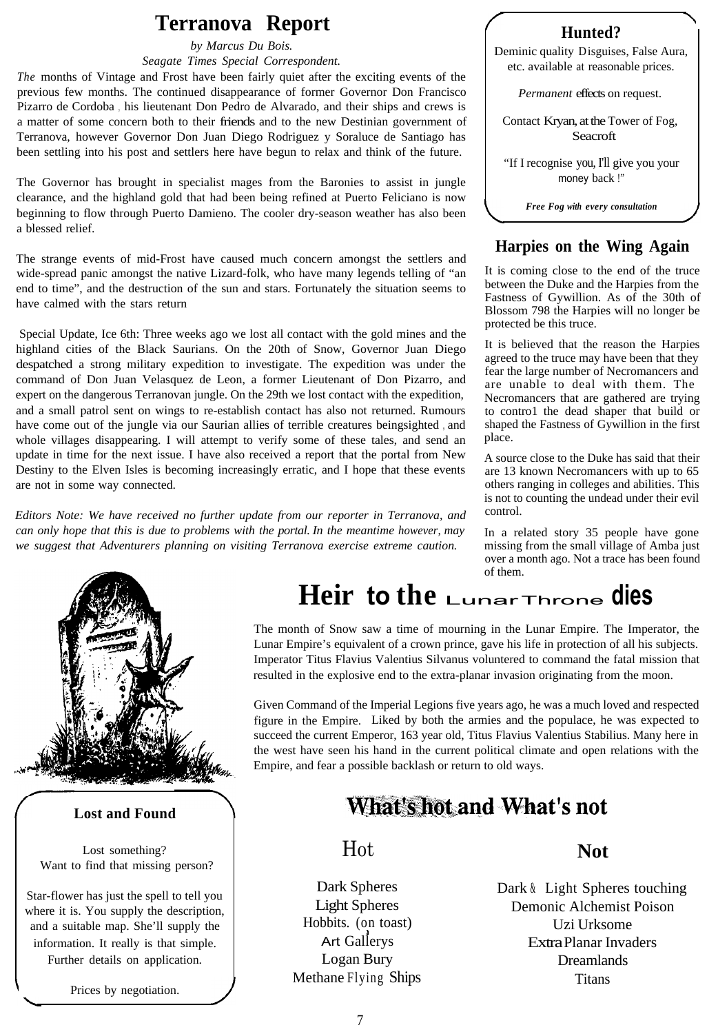## **Terranova Report**

*by Marcus Du Bois.*

*Seagate Times Special Correspondent.*

*The* months of Vintage and Frost have been fairly quiet after the exciting events of the previous few months. The continued disappearance of former Governor Don Francisco Pizarro de Cordoba , his lieutenant Don Pedro de Alvarado, and their ships and crews is a matter of some concern both to their friends and to the new Destinian government of Terranova, however Governor Don Juan Diego Rodriguez y Soraluce de Santiago has been settling into his post and settlers here have begun to relax and think of the future.

The Governor has brought in specialist mages from the Baronies to assist in jungle clearance, and the highland gold that had been being refined at Puerto Feliciano is now beginning to flow through Puerto Damieno. The cooler dry-season weather has also been a blessed relief.

The strange events of mid-Frost have caused much concern amongst the settlers and wide-spread panic amongst the native Lizard-folk, who have many legends telling of "an end to time", and the destruction of the sun and stars. Fortunately the situation seems to have calmed with the stars return

Special Update, Ice 6th: Three weeks ago we lost all contact with the gold mines and the highland cities of the Black Saurians. On the 20th of Snow, Governor Juan Diego despatched a strong military expedition to investigate. The expedition was under the command of Don Juan Velasquez de Leon, a former Lieutenant of Don Pizarro, and expert on the dangerous Terranovan jungle. On the 29th we lost contact with the expedition, and a small patrol sent on wings to re-establish contact has also not returned. Rumours have come out of the jungle via our Saurian allies of terrible creatures beingsighted , and whole villages disappearing. I will attempt to verify some of these tales, and send an update in time for the next issue. I have also received a report that the portal from New Destiny to the Elven Isles is becoming increasingly erratic, and I hope that these events are not in some way connected.

*Editors Note: We have received no further update from our reporter in Terranova, and can only hope that this is due to problems with the portal. In the meantime however, may we suggest that Adventurers planning on visiting Terranova exercise extreme caution.*



#### **Lost and Found**

Lost something? Want to find that missing person?

Star-flower has just the spell to tell you where it is. You supply the description, and a suitable map. She'll supply the information. It really is that simple. Further details on application.

Prices by negotiation.

#### **Hunted?**

Deminic quality Disguises, False Aura, etc. available at reasonable prices.

*Permanent* effects on request.

Contact Kryan, at the Tower of Fog, **Seacroft** 

"If I recognise you, I'll give you your money back !"

*Free Fog with every consultation*

#### **Harpies on the Wing Again**

It is coming close to the end of the truce between the Duke and the Harpies from the Fastness of Gywillion. As of the 30th of Blossom 798 the Harpies will no longer be protected be this truce.

It is believed that the reason the Harpies agreed to the truce may have been that they fear the large number of Necromancers and are unable to deal with them. The Necromancers that are gathered are trying to contro1 the dead shaper that build or shaped the Fastness of Gywillion in the first place.

A source close to the Duke has said that their are 13 known Necromancers with up to 65 others ranging in colleges and abilities. This is not to counting the undead under their evil control.

In a related story 35 people have gone missing from the small village of Amba just over a month ago. Not a trace has been found of them.

## **Heir to the** LunarThrone **dies**

The month of Snow saw a time of mourning in the Lunar Empire. The Imperator, the Lunar Empire's equivalent of a crown prince, gave his life in protection of all his subjects. Imperator Titus Flavius Valentius Silvanus voluntered to command the fatal mission that resulted in the explosive end to the extra-planar invasion originating from the moon.

Given Command of the Imperial Legions five years ago, he was a much loved and respected figure in the Empire. Liked by both the armies and the populace, he was expected to succeed the current Emperor, 163 year old, Titus Flavius Valentius Stabilius. Many here in the west have seen his hand in the current political climate and open relations with the Empire, and fear a possible backlash or return to old ways.

## **What's hot and What's not**

## Hot **Not**

Dark Spheres Light Spheres Hobbits. (on toast) Art Gallerys Logan Bury Methane Flying Ships

Dark & Light Spheres touching Demonic Alchemist Poison Uzi Urksome Extra Planar Invaders Dreamlands **Titans**